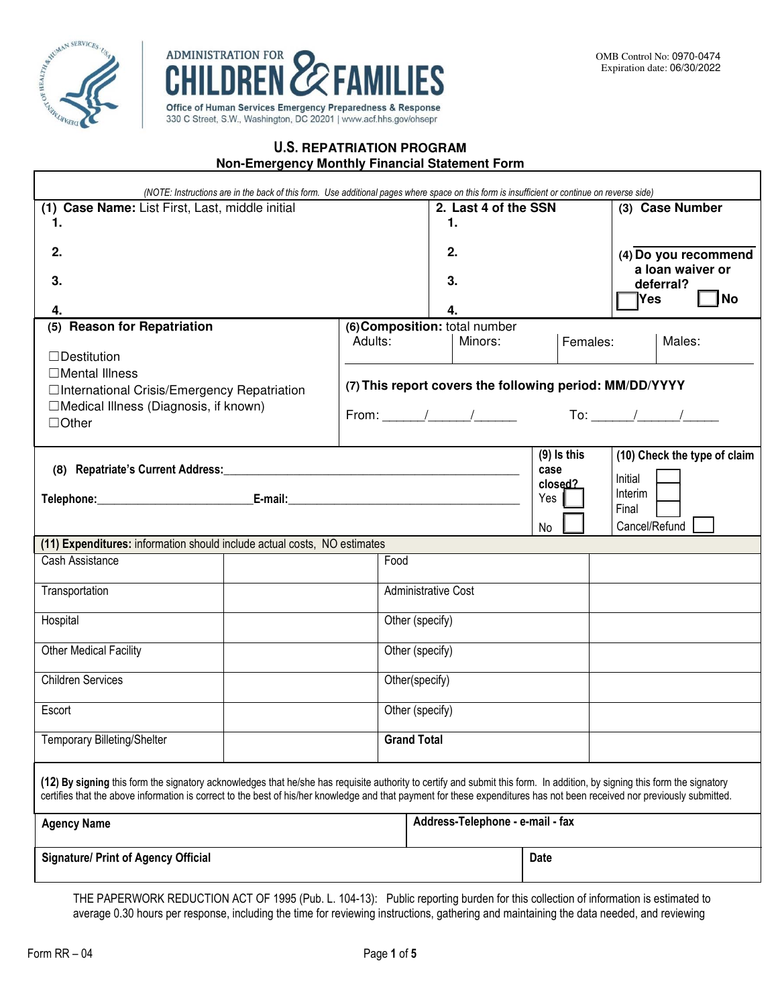



## **U.S. REPATRIATION PROGRAM**

| Non-Emergency Monthly Financial Statement Form |  |  |  |  |
|------------------------------------------------|--|--|--|--|
|------------------------------------------------|--|--|--|--|

| (NOTE: Instructions are in the back of this form. Use additional pages where space on this form is insufficient or continue on reverse side)                                                                                                                                                                                                          |                |                                                         |                               |                |                              |  |  |
|-------------------------------------------------------------------------------------------------------------------------------------------------------------------------------------------------------------------------------------------------------------------------------------------------------------------------------------------------------|----------------|---------------------------------------------------------|-------------------------------|----------------|------------------------------|--|--|
| (1) Case Name: List First, Last, middle initial                                                                                                                                                                                                                                                                                                       |                |                                                         | 2. Last 4 of the SSN          |                | (3) Case Number              |  |  |
| 1.                                                                                                                                                                                                                                                                                                                                                    |                |                                                         | 1.                            |                |                              |  |  |
| 2.                                                                                                                                                                                                                                                                                                                                                    |                |                                                         | 2.                            |                | (4) Do you recommend         |  |  |
|                                                                                                                                                                                                                                                                                                                                                       |                |                                                         |                               |                | a loan waiver or             |  |  |
| 3.                                                                                                                                                                                                                                                                                                                                                    | 3.             |                                                         | deferral?                     |                |                              |  |  |
| 4.                                                                                                                                                                                                                                                                                                                                                    |                |                                                         | 4.                            |                | ∣Yes<br> No                  |  |  |
| (5) Reason for Repatriation                                                                                                                                                                                                                                                                                                                           |                |                                                         | (6) Composition: total number |                |                              |  |  |
| $\Box$ Destitution                                                                                                                                                                                                                                                                                                                                    |                | Adults:                                                 | Minors:                       | Females:       | Males:                       |  |  |
| □Mental Illness                                                                                                                                                                                                                                                                                                                                       |                |                                                         |                               |                |                              |  |  |
| □International Crisis/Emergency Repatriation                                                                                                                                                                                                                                                                                                          |                | (7) This report covers the following period: MM/DD/YYYY |                               |                |                              |  |  |
| □Medical Illness (Diagnosis, if known)                                                                                                                                                                                                                                                                                                                |                |                                                         |                               |                |                              |  |  |
| $\Box$ Other                                                                                                                                                                                                                                                                                                                                          |                |                                                         |                               |                |                              |  |  |
|                                                                                                                                                                                                                                                                                                                                                       |                |                                                         |                               | $(9)$ Is this  | (10) Check the type of claim |  |  |
|                                                                                                                                                                                                                                                                                                                                                       |                |                                                         |                               | case           | Initial                      |  |  |
|                                                                                                                                                                                                                                                                                                                                                       |                |                                                         |                               | closed?<br>Yes | Interim                      |  |  |
|                                                                                                                                                                                                                                                                                                                                                       |                |                                                         |                               |                | Final                        |  |  |
|                                                                                                                                                                                                                                                                                                                                                       |                |                                                         |                               | No             | Cancel/Refund                |  |  |
| (11) Expenditures: information should include actual costs, NO estimates                                                                                                                                                                                                                                                                              |                |                                                         |                               |                |                              |  |  |
| Cash Assistance                                                                                                                                                                                                                                                                                                                                       |                | Food                                                    |                               |                |                              |  |  |
| Transportation                                                                                                                                                                                                                                                                                                                                        |                |                                                         | <b>Administrative Cost</b>    |                |                              |  |  |
|                                                                                                                                                                                                                                                                                                                                                       |                |                                                         |                               |                |                              |  |  |
| Hospital                                                                                                                                                                                                                                                                                                                                              |                |                                                         | Other (specify)               |                |                              |  |  |
| <b>Other Medical Facility</b>                                                                                                                                                                                                                                                                                                                         |                |                                                         | Other (specify)               |                |                              |  |  |
| <b>Children Services</b>                                                                                                                                                                                                                                                                                                                              |                |                                                         |                               |                |                              |  |  |
|                                                                                                                                                                                                                                                                                                                                                       | Other(specify) |                                                         |                               |                |                              |  |  |
| Escort                                                                                                                                                                                                                                                                                                                                                |                | Other (specify)                                         |                               |                |                              |  |  |
| <b>Temporary Billeting/Shelter</b>                                                                                                                                                                                                                                                                                                                    |                | <b>Grand Total</b>                                      |                               |                |                              |  |  |
|                                                                                                                                                                                                                                                                                                                                                       |                |                                                         |                               |                |                              |  |  |
|                                                                                                                                                                                                                                                                                                                                                       |                |                                                         |                               |                |                              |  |  |
| (12) By signing this form the signatory acknowledges that he/she has requisite authority to certify and submit this form. In addition, by signing this form the signatory<br>certifies that the above information is correct to the best of his/her knowledge and that payment for these expenditures has not been received nor previously submitted. |                |                                                         |                               |                |                              |  |  |
|                                                                                                                                                                                                                                                                                                                                                       |                |                                                         |                               |                |                              |  |  |
| <b>Agency Name</b>                                                                                                                                                                                                                                                                                                                                    |                | Address-Telephone - e-mail - fax                        |                               |                |                              |  |  |
| <b>Signature/ Print of Agency Official</b>                                                                                                                                                                                                                                                                                                            |                |                                                         |                               | <b>Date</b>    |                              |  |  |
|                                                                                                                                                                                                                                                                                                                                                       |                |                                                         |                               |                |                              |  |  |
| THE PAPERWORK REDUCTION ACT OF 1995 (Pub 1 104-13): Public reporting burden for this collection of information is estimated to                                                                                                                                                                                                                        |                |                                                         |                               |                |                              |  |  |

THE PAPERWORK REDUCTION ACT OF 1995 (Pub. L. 104-13): Public reporting burden for this collection of information is estimated to average 0.30 hours per response, including the time for reviewing instructions, gathering and maintaining the data needed, and reviewing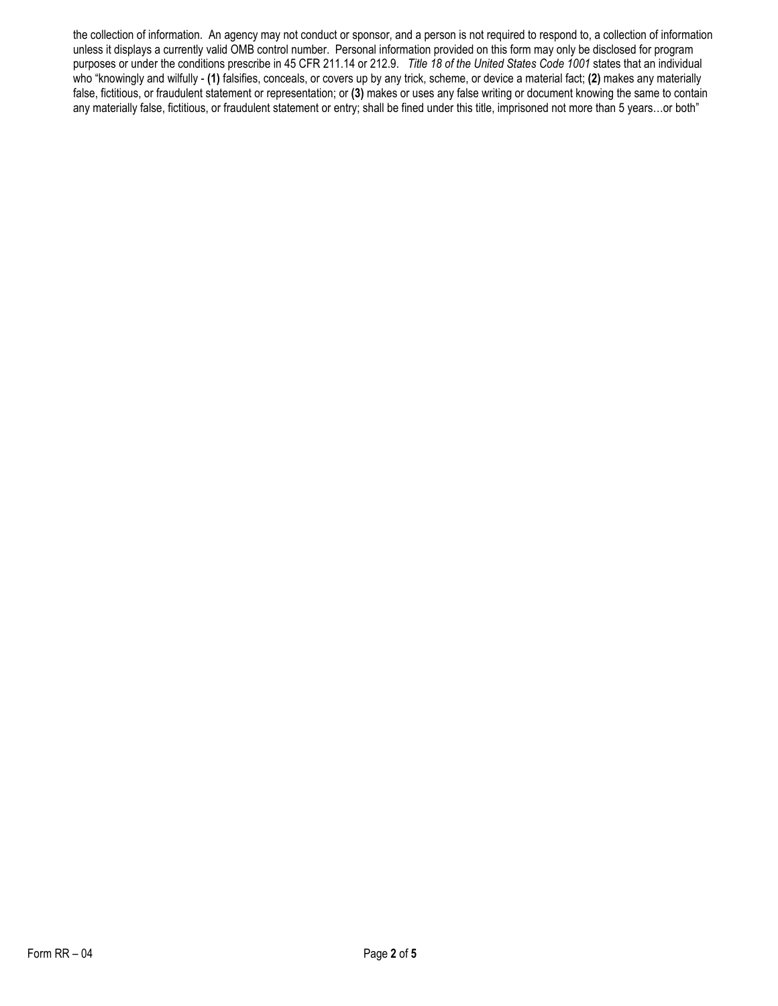the collection of information. An agency may not conduct or sponsor, and a person is not required to respond to, a collection of information unless it displays a currently valid OMB control number. Personal information provided on this form may only be disclosed for program purposes or under the conditions prescribe in 45 CFR 211.14 or 212.9. *Title 18 of the United States Code 1001* states that an individual who "knowingly and wilfully - **(1)** falsifies, conceals, or covers up by any trick, scheme, or device a material fact; **(2)** makes any materially false, fictitious, or fraudulent statement or representation; or **(3)** makes or uses any false writing or document knowing the same to contain any materially false, fictitious, or fraudulent statement or entry; shall be fined under this title, imprisoned not more than 5 years…or both"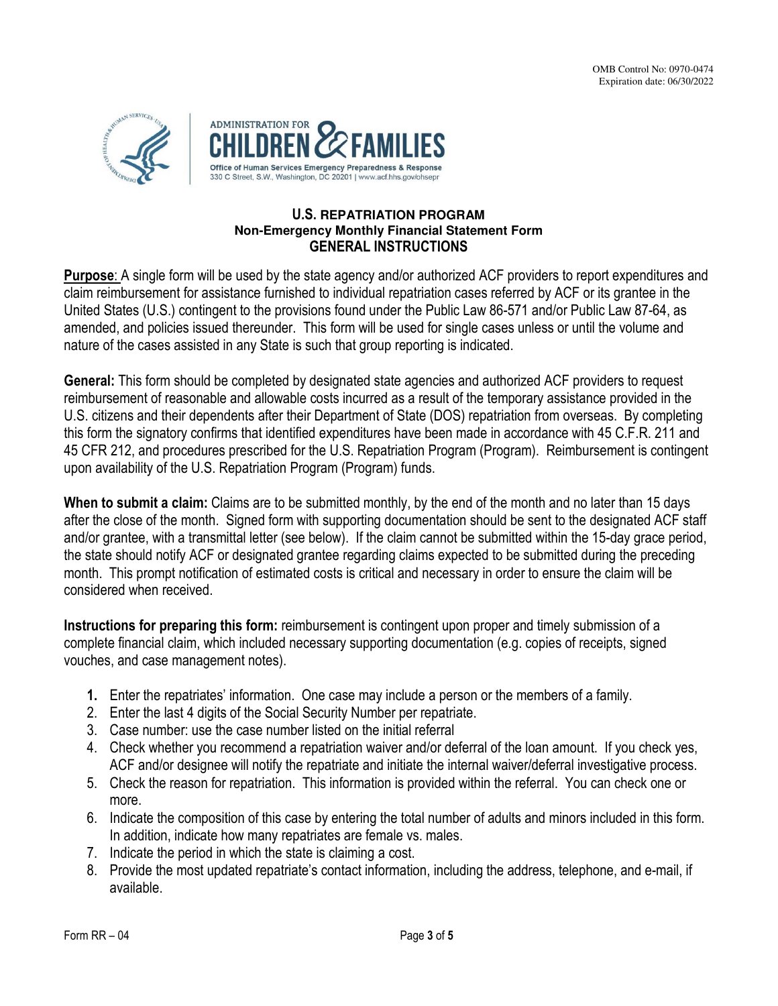

## **U.S. REPATRIATION PROGRAM Non-Emergency Monthly Financial Statement Form GENERAL INSTRUCTIONS**

**Purpose**: A single form will be used by the state agency and/or authorized ACF providers to report expenditures and claim reimbursement for assistance furnished to individual repatriation cases referred by ACF or its grantee in the United States (U.S.) contingent to the provisions found under the Public Law 86-571 and/or Public Law 87-64, as amended, and policies issued thereunder. This form will be used for single cases unless or until the volume and nature of the cases assisted in any State is such that group reporting is indicated.

**General:** This form should be completed by designated state agencies and authorized ACF providers to request reimbursement of reasonable and allowable costs incurred as a result of the temporary assistance provided in the U.S. citizens and their dependents after their Department of State (DOS) repatriation from overseas. By completing this form the signatory confirms that identified expenditures have been made in accordance with 45 C.F.R. 211 and 45 CFR 212, and procedures prescribed for the U.S. Repatriation Program (Program). Reimbursement is contingent upon availability of the U.S. Repatriation Program (Program) funds.

**When to submit a claim:** Claims are to be submitted monthly, by the end of the month and no later than 15 days after the close of the month. Signed form with supporting documentation should be sent to the designated ACF staff and/or grantee, with a transmittal letter (see below). If the claim cannot be submitted within the 15-day grace period, the state should notify ACF or designated grantee regarding claims expected to be submitted during the preceding month. This prompt notification of estimated costs is critical and necessary in order to ensure the claim will be considered when received.

**Instructions for preparing this form:** reimbursement is contingent upon proper and timely submission of a complete financial claim, which included necessary supporting documentation (e.g. copies of receipts, signed vouches, and case management notes).

- **1.** Enter the repatriates' information. One case may include a person or the members of a family.
- 2. Enter the last 4 digits of the Social Security Number per repatriate.
- 3. Case number: use the case number listed on the initial referral
- 4. Check whether you recommend a repatriation waiver and/or deferral of the loan amount. If you check yes, ACF and/or designee will notify the repatriate and initiate the internal waiver/deferral investigative process.
- 5. Check the reason for repatriation. This information is provided within the referral. You can check one or more.
- 6. Indicate the composition of this case by entering the total number of adults and minors included in this form. In addition, indicate how many repatriates are female vs. males.
- 7. Indicate the period in which the state is claiming a cost.
- 8. Provide the most updated repatriate's contact information, including the address, telephone, and e-mail, if available.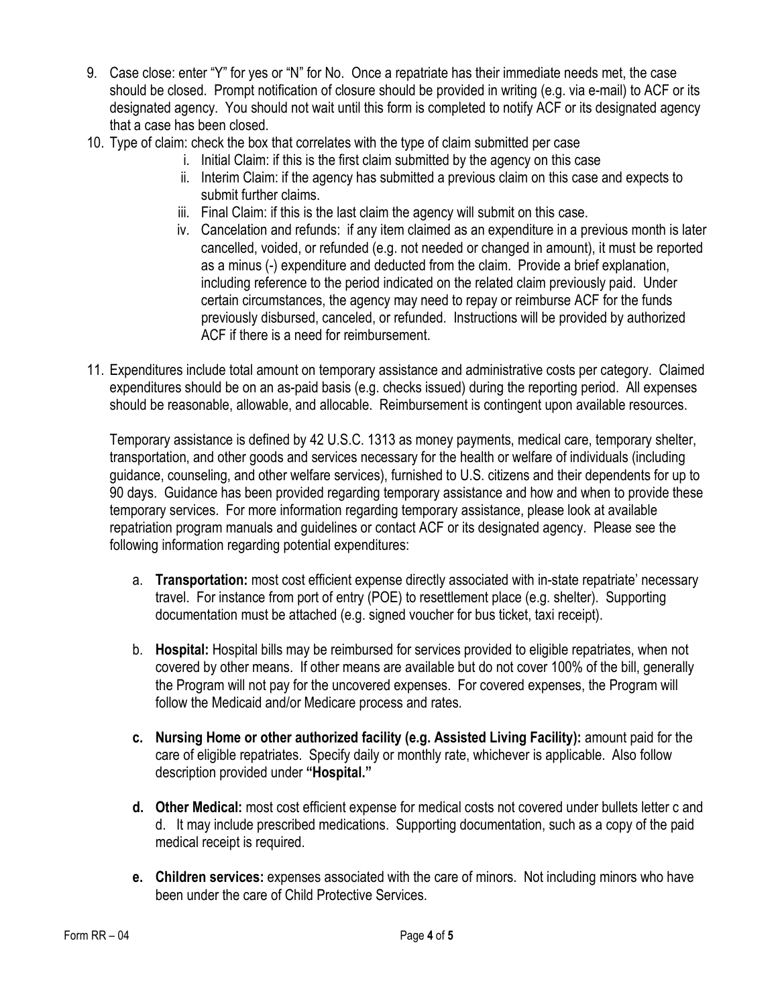- 9. Case close: enter "Y" for yes or "N" for No. Once a repatriate has their immediate needs met, the case should be closed. Prompt notification of closure should be provided in writing (e.g. via e-mail) to ACF or its designated agency. You should not wait until this form is completed to notify ACF or its designated agency that a case has been closed.
- 10. Type of claim: check the box that correlates with the type of claim submitted per case
	- i. Initial Claim: if this is the first claim submitted by the agency on this case
	- ii. Interim Claim: if the agency has submitted a previous claim on this case and expects to submit further claims.
	- iii. Final Claim: if this is the last claim the agency will submit on this case.
	- iv. Cancelation and refunds:if any item claimed as an expenditure in a previous month is later cancelled, voided, or refunded (e.g. not needed or changed in amount), it must be reported as a minus (-) expenditure and deducted from the claim. Provide a brief explanation, including reference to the period indicated on the related claim previously paid. Under certain circumstances, the agency may need to repay or reimburse ACF for the funds previously disbursed, canceled, or refunded. Instructions will be provided by authorized ACF if there is a need for reimbursement.
- 11. Expenditures include total amount on temporary assistance and administrative costs per category. Claimed expenditures should be on an as-paid basis (e.g. checks issued) during the reporting period. All expenses should be reasonable, allowable, and allocable. Reimbursement is contingent upon available resources.

Temporary assistance is defined by 42 U.S.C. 1313 as money payments, medical care, temporary shelter, transportation, and other goods and services necessary for the health or welfare of individuals (including guidance, counseling, and other welfare services), furnished to U.S. citizens and their dependents for up to 90 days. Guidance has been provided regarding temporary assistance and how and when to provide these temporary services. For more information regarding temporary assistance, please look at available repatriation program manuals and guidelines or contact ACF or its designated agency. Please see the following information regarding potential expenditures:

- a. **Transportation:** most cost efficient expense directly associated with in-state repatriate' necessary travel. For instance from port of entry (POE) to resettlement place (e.g. shelter). Supporting documentation must be attached (e.g. signed voucher for bus ticket, taxi receipt).
- b. **Hospital:** Hospital bills may be reimbursed for services provided to eligible repatriates, when not covered by other means.If other means are available but do not cover 100% of the bill, generally the Program will not pay for the uncovered expenses. For covered expenses, the Program will follow the Medicaid and/or Medicare process and rates.
- **c. Nursing Home or other authorized facility (e.g. Assisted Living Facility):** amount paid for the care of eligible repatriates. Specify daily or monthly rate, whichever is applicable. Also follow description provided under **"Hospital."**
- **d. Other Medical:** most cost efficient expense for medical costs not covered under bullets letter c and d. It may include prescribed medications. Supporting documentation, such as a copy of the paid medical receipt is required.
- **e. Children services:** expenses associated with the care of minors. Not including minors who have been under the care of Child Protective Services.